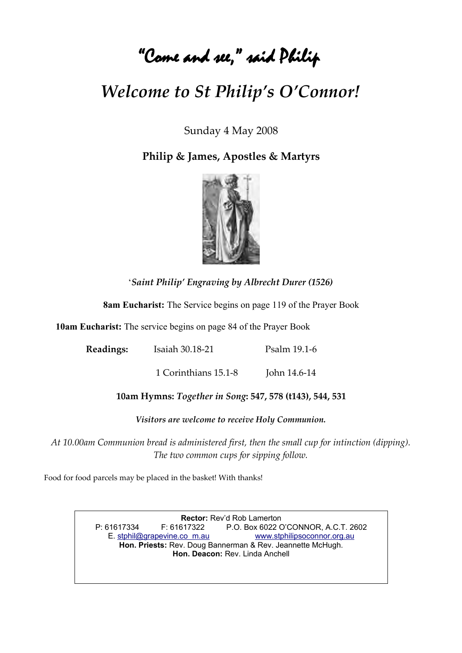# "Come and see, " said Philip

## *Welcome to St Philip's O'Connor!*

Sunday 4 May 2008

**Philip & James, Apostles & Martyrs**



'*Saint Philip' Engraving by Albrecht Durer (1526)*

**8am Eucharist:** The Service begins on page 119 of the Prayer Book

**10am Eucharist:** The service begins on page 84 of the Prayer Book

**Readings:** Isaiah 30.18-21 Psalm 19.1-6

1 Corinthians 15.1-8 John 14.6-14

**10am Hymns:** *Together in Song***: 547, 578 (t143), 544, 531**

*Visitors are welcome to receive Holy Communion.*

*At 10.00am Communion bread is administered first, then the small cup for intinction (dipping). The two common cups for sipping follow.*

Food for food parcels may be placed in the basket! With thanks!

**Rector:** Rev'd Rob Lamerton P: 61617334 F: 61617322 P.O. Box 6022 O'CONNOR, A.C.T. 2602 E. [stphil@grapevine.co m.au](mailto:stphil@grapevine.com.au) [www.stphilipsoconnor.org.au](http://www.stphilipsoconnor.org.au/) **Hon. Priests:** Rev. Doug Bannerman & Rev. Jeannette McHugh. **Hon. Deacon:** Rev. Linda Anchell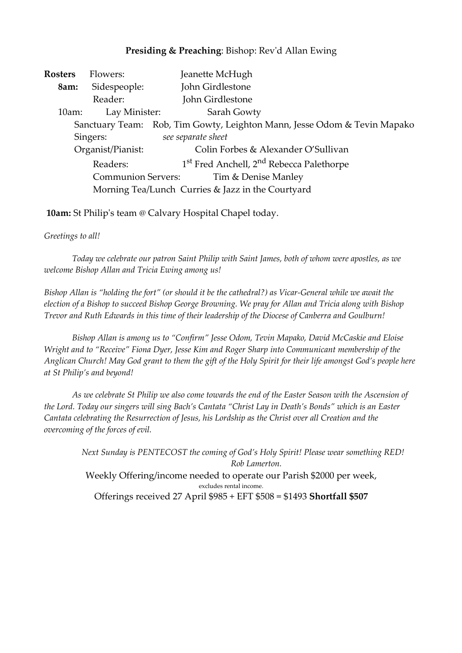## **Presiding & Preaching**: Bishop: Rev'd Allan Ewing

| Rosters                                           | Flowers:      | Jeanette McHugh                                                          |  |  |  |
|---------------------------------------------------|---------------|--------------------------------------------------------------------------|--|--|--|
| 8am:                                              | Sidespeople:  | John Girdlestone                                                         |  |  |  |
|                                                   | Reader:       | John Girdlestone                                                         |  |  |  |
| 10am:                                             | Lay Minister: | Sarah Gowty                                                              |  |  |  |
|                                                   |               | Sanctuary Team: Rob, Tim Gowty, Leighton Mann, Jesse Odom & Tevin Mapako |  |  |  |
| Singers:                                          |               | see separate sheet                                                       |  |  |  |
| Organist/Pianist:                                 |               | Colin Forbes & Alexander O'Sullivan                                      |  |  |  |
| Readers:                                          |               | 1 <sup>st</sup> Fred Anchell, 2 <sup>nd</sup> Rebecca Palethorpe         |  |  |  |
| <b>Communion Servers:</b><br>Tim & Denise Manley  |               |                                                                          |  |  |  |
| Morning Tea/Lunch Curries & Jazz in the Courtyard |               |                                                                          |  |  |  |

**10am:** St Philip's team @ Calvary Hospital Chapel today.

### *Greetings to all!*

*Today we celebrate our patron Saint Philip with Saint James, both of whom were apostles, as we welcome Bishop Allan and Tricia Ewing among us!*

*Bishop Allan is "holding the fort" (or should it be the cathedral?) as Vicar-General while we await the election of a Bishop to succeed Bishop George Browning. We pray for Allan and Tricia along with Bishop Trevor and Ruth Edwards in this time of their leadership of the Diocese of Canberra and Goulburn!*

*Bishop Allan is among us to "Confirm" Jesse Odom, Tevin Mapako, David McCaskie and Eloise Wright and to "Receive" Fiona Dyer, Jesse Kim and Roger Sharp into Communicant membership of the Anglican Church! May God grant to them the gift of the Holy Spirit for their life amongst God's people here at St Philip's and beyond!*

*As we celebrate St Philip we also come towards the end of the Easter Season with the Ascension of the Lord. Today our singers will sing Bach's Cantata "Christ Lay in Death's Bonds" which is an Easter Cantata celebrating the Resurrection of Jesus, his Lordship as the Christ over all Creation and the overcoming of the forces of evil.* 

> *Next Sunday is PENTECOST the coming of God's Holy Spirit! Please wear something RED! Rob Lamerton.* Weekly Offering/income needed to operate our Parish \$2000 per week, excludes rental income. Offerings received 27 April \$985 + EFT \$508 = \$1493 **Shortfall \$507**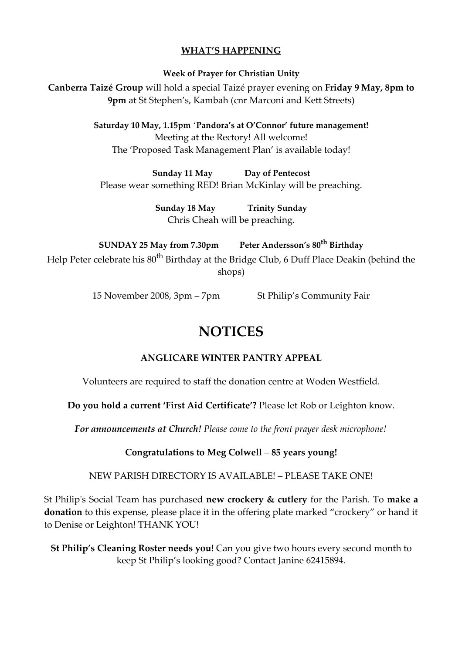## **WHAT'S HAPPENING**

**Week of Prayer for Christian Unity**

**Canberra Taizé Group** will hold a special Taizé prayer evening on **Friday 9 May, 8pm to 9pm** at St Stephen's, Kambah (cnr Marconi and Kett Streets)

> **Saturday 10 May, 1.15pm** '**Pandora's at O'Connor' future management!** Meeting at the Rectory! All welcome! The 'Proposed Task Management Plan' is available today!

**Sunday 11 May Day of Pentecost** Please wear something RED! Brian McKinlay will be preaching.

> **Sunday 18 May Trinity Sunday** Chris Cheah will be preaching.

**SUNDAY 25 May from 7.30pm Peter Andersson's 80th Birthday** Help Peter celebrate his 80<sup>th</sup> Birthday at the Bridge Club, 6 Duff Place Deakin (behind the shops)

15 November 2008, 3pm – 7pm St Philip's Community Fair

## **NOTICES**

## **ANGLICARE WINTER PANTRY APPEAL**

Volunteers are required to staff the donation centre at Woden Westfield.

**Do you hold a current 'First Aid Certificate'?** Please let Rob or Leighton know.

*For announcements at Church! Please come to the front prayer desk microphone!*

**Congratulations to Meg Colwell** – **85 years young!**

NEW PARISH DIRECTORY IS AVAILABLE! – PLEASE TAKE ONE!

St Philip's Social Team has purchased **new crockery & cutlery** for the Parish. To **make a donation** to this expense, please place it in the offering plate marked "crockery" or hand it to Denise or Leighton! THANK YOU!

**St Philip's Cleaning Roster needs you!** Can you give two hours every second month to keep St Philip's looking good? Contact Janine 62415894.